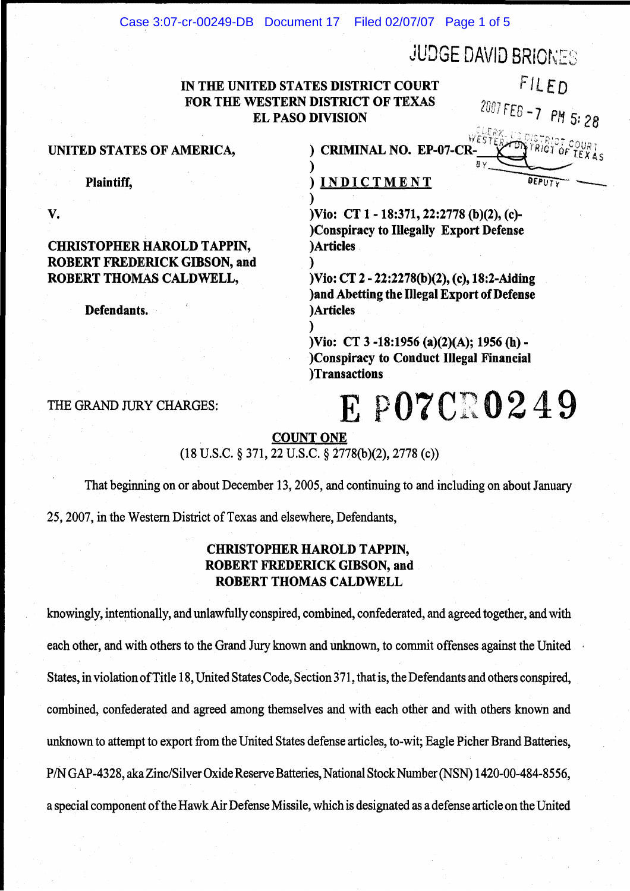Case 3:07-cr-00249-DB Document 17 Filed 02/07/07 Page 1 of 5

#### JUDGE DAVID BRIONES IN THE UNITED STATES DISTRICT COURT FOR THE WESTERN DISTRICT OF TEXAS EL PASO DIVISION FILED 2007 FEB -7 PM 5: 28 UNITED STATES OF AMERICA,  $\qquad \qquad$  ) CRIMINAL NO. EP-07-CR-) *BY*  Plaintiff, ) INDICTMENT ) CHRISTOPHER HAROLD TAPPIN, ROBERT FREDERICK GIBSON, and ROBERT THOMAS CALDWELL, )Vio: CT 1 - 18:371, 22:2778 (b)(2), (c)-)Conspiracy to Illegally Export Defense )Articles ) )Vio: CT 2 - 22:2278(b)(2), (c), 18:2-Aiding

Defendants. (2002) Defendants.

V.

land Abetting the Illegal Export of Defense

)Vio: CT 3 -18:1956 (a)(2)(A); 1956 (h)- )Conspiracy to Conduct Illegal Financial )Transactions

THE GRAND JURY CHARGES: FREE POTCRO249

COUNT ONE

)

 $(18 \text{ U.S.C.} \S 371, 22 \text{ U.S.C.} \S 2778(b)(2), 2778(c))$ 

That beginning on or about December 13, 2005, and continuing to and including on about January

25,2007, in the Western District of Texas and elsewhere, Defendants,

# CHRISTOPHER HAROLD TAPPIN, ROBERT FREDERICK GIBSON, and ROBERT THOMAS CALDWELL

knowingly, intentionally, and unlawfully conspired, combined, confederated, and agreed together, and with each other, and with others to the Grand Jury known and unknown, to commit offenses against the United States, in violation of Title 18, United States Code, Section 371, that is, the Defendants and others conspired, combined, confederated and agreed among themselves and with each other and with others known and unknown to attempt to export from the United States defense articles, to-wit; Eagle Picher Brand Batteries, *PIN* GAP -4328, aka Zinc/Silver Oxide Reserve Batteries, National Stock Number (NSN) 1420-00-484-8556, a special component of the Hawk Air Defense Missile, which is designated as a defense article on the United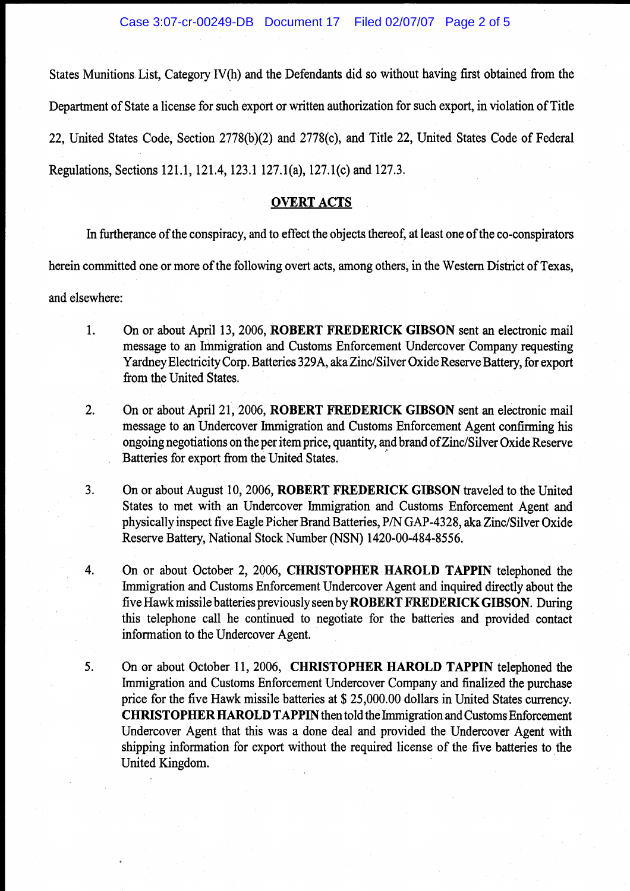States Munitions List, Category IV(h) and the Defendants did so without having first obtained from the Department of State a license for such export or written authorization for such export, in violation of Title 22, United States Code, Section 2778(b)(2) and 2778(c), and Title 22, United States Code of Federal Regulations, Sections 121.1, 121.4, 123.1127.1(a), 127.1(c) and 127.3.

### OVERT ACTS

In furtherance of the conspiracy, and to effect the objects thereof, at least one of the co-conspirators

herein committed one or more of the following overt acts, among others, in the Western District of Texas,

and elsewhere:

- 1. On or about April 13, 2006, ROBERT FREDERICK GIBSON sent an electronic mail message to an Immigration and Customs Enforcement Undercover Company requesting Yardney Electricity Corp. Batteries 329A, aka Zinc/Silver Oxide Reserve Battery, for export from the United States.
- 2. On or about April 21, 2006, ROBERT FREDERICK GIBSON sent an electronic mail message to an Undercover Immigration and Customs Enforcement Agent confirming his ongoing negotiations on the per item price, quantity, and brand of Zinc/Silver Oxide Reserve Batteries for export from the United States.
- 3. On or about August 10,2006, ROBERT FREDERICK GIBSON traveled to the United States to met with an Undercover hnmigration and Customs Enforcement Agent and physically inspect five Eagle Picher Brand Batteries, *PIN* GAP-4328, aka Zinc/Silver Oxide Reserve Battery, National Stock Number (NSN) 1420-00-484-8556.
- 4. On or about October 2, 2006, CHRISTOPHER HAROLD TAPPIN telephoned the Immigration and Customs Enforcement Undercover Agent and inquired directly about the five Hawk missile batteries previously seen by ROBERT FREDERICK GIBSON. During this telephone call he continued to negotiate for the batteries and provided contact information to the Undercover Agent.
- 5. On or about October 11, 2006, CHRISTOPHER HAROLD TAPPIN telephoned the Immigration and Customs Enforcement Undercover Company and finalized the purchase price for the five Hawk missile batteries at \$ 25,000.00 dollars in United States currency. CHRISTOPHER HAROLD TAPPIN then told the hnmigration and Customs Enforcement Undercover Agent that this was a done deal and provided the Undercover Agent with shipping information for export without the required license of the five batteries to the United Kingdom.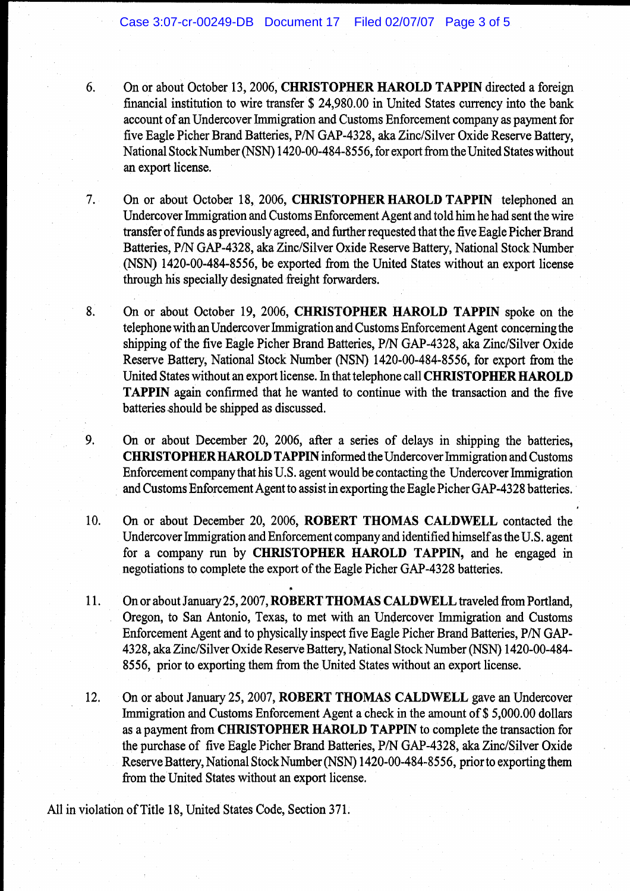- 6. On or about October 13, 2006, **CHRISTOPHER HAROLD TAPPIN** directed a foreign financial institution to wire transfer \$ 24,980.00 in United States currency into the bank account of an Undercover Immigration and Customs Enforcement company as payment for five Eagle Picher Brand Batteries, *PIN* GAP-4328, aka Zinc/Silver Oxide Reserve Battery, National Stock Number (NSN) 1420-00-484-8556, for export from the United States without an export license.
- 7. On or about October 18, 2006, **CHRISTOPHER HAROLD TAPPIN** telephoned an Undercover Immigration and Customs Enforcement Agent and told him he had sent the wire transfer of funds as previously agreed, and further requested that the five Eagle Picher Brand Batteries, *PIN* GAP-4328, aka Zinc/Silver Oxide Reserve Battery, National Stock Number (NSN) 1420-00-484-8556, be exported from the United States without an export license through his specially designated freight forwarders.

8. On or about October 19, 2006, **CHRISTOPHER HAROLD TAPPIN** spoke on the telephone with an Undercover Immigration and Customs Enforcement Agent concerning the shipping of the five Eagle Picher Brand Batteries, *PIN* GAP-4328, aka Zinc/Silver Oxide Reserve Battery, National Stock Number (NSN) 1420-00-484-8556, for export from the United States without an export license. In that telephone call **CHRISTOPHER HAROLD TAPPIN** again confirmed that he wanted to continue with the transaction and the five batteries should be shipped as discussed.

- 9. On or about December 20, 2006, after a series of delays in shipping the batteries, CHRISTOPHER HAROLD **TAPPIN** informed the Undercover hnmigration and Customs Enforcement company that his U.S. agent would be contacting the Undercover hnmigration . and Customs Enforcement Agent to assist in exporting the Eagle Picher GAP-4328 batteries.
- 10. On or about December 20,2006, **ROBERT THOMAS CALDWELL** contacted the Undercover Immigration and Enforcement company and identified himself as the U.S. agent for a company run by **CHRISTOPHER HAROLD TAPPIN,** and he engaged in negotiations to complete the export of the Eagle Picher GAP-4328 batteries.
- 11. On or about January 25,2007, **ROBERT THOMAS CALDWELL** traveled from Portland, Oregon, to San Antonio, Texas, to met with an Undercover Immigration and Customs Enforcement Agent and to physically inspect five Eagle Picher Brand Batteries, *PIN* GAP-4328, aka Zinc/Silver Oxide Reserve Battery, National Stock Number (NSN) 1420-00-484- 8556, prior to exporting them from the United States without an export license.
- 12. On or about January 25, 2007, **ROBERT THOMAS CALDWELL** gave an Undercover Immigration and Customs Enforcement Agent a check in the amount of \$5,000.00 dollars as a payment from **CHRISTOPHER HAROLD TAPPIN** to complete the transaction for the purchase of five Eagle Picher Brand Batteries, *PIN* GAP-4328, aka Zinc/Silver Oxide Reserve Battery, National Stock Number (NSN) 1420-00-484-8556, prior to exporting them from the United States without an export license.

All in violation of Title 18, United States Code, Section 371.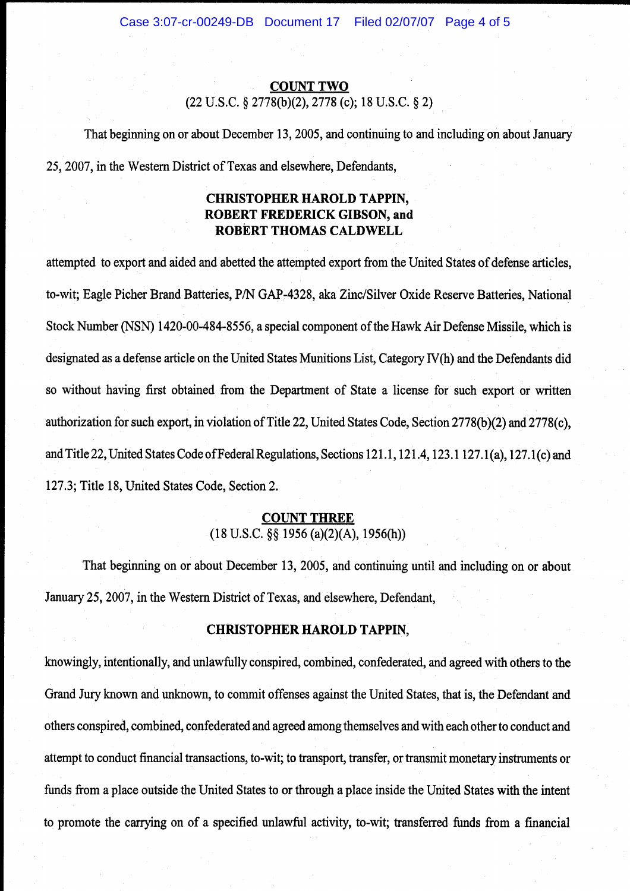#### COUNT TWO

(22 U.S.C. § 2778(b)(2), 2778 (c); 18 U.S.C. § 2)

That beginning on or about December 13, 2005, and continuing to and including on about January 25,2007, in the Western District of Texas and elsewhere, Defendants,

# **CHRISTOPHER HAROLD TAPPIN, ROBERT FREDERICK GIBSON, and**  ROBERT THOMAS CALDWELL

attempted to export and aided and abetted the attempted export from the United States of defense articles, to-wit; Eagle Picher Brand Batteries, *PIN* GAP-4328, aka Zinc/Silver Oxide Reserve Batteries, National Stock Number (NSN) 1420-00-484-8556, a special component of the Hawk Air Defense Missile, which is designated as a defense article on the United States Munitions List, Category IV(h) and the Defendants did so without having first obtained from the Department of State a license for such export or written authorization for such export, in violation of Title 22, United States Code, Section 2778(b)(2) and 2778(c), and Title 22, United States Code of Federal Regulations, Sections 121.1, 121.4, 123.1127.1(a), 127.1 (c) and 127.3; Title 18, United States Code, Section 2.

# COUNT THREE

 $(18 \text{ U.S.C. }$ §§ 1956 (a)(2)(A), 1956(h))

That beginning on or about December 13,2005, and continuing until and including on or about January 25,2007, in the Western District of Texas, and elsewhere, Defendant,

#### **CHRISTOPHER HAROLD TAPPIN,**

knowingly, intentionally, and unlawfully conspired, combined, confederated, and agreed with others to the Grand Jury known and unknown, to commit offenses against the United States, that is, the Defendant and others conspired, combined, confederated and agreed among themselves and with each other to conduct and attempt to conduct financial transactions, to-wit; to transport, transfer, or transmit monetary instruments or funds from a place outside the United States to or through a place inside the United States with the intent to promote the carrying on of a specified unlawful activity, to-wit; transferred funds from a financial